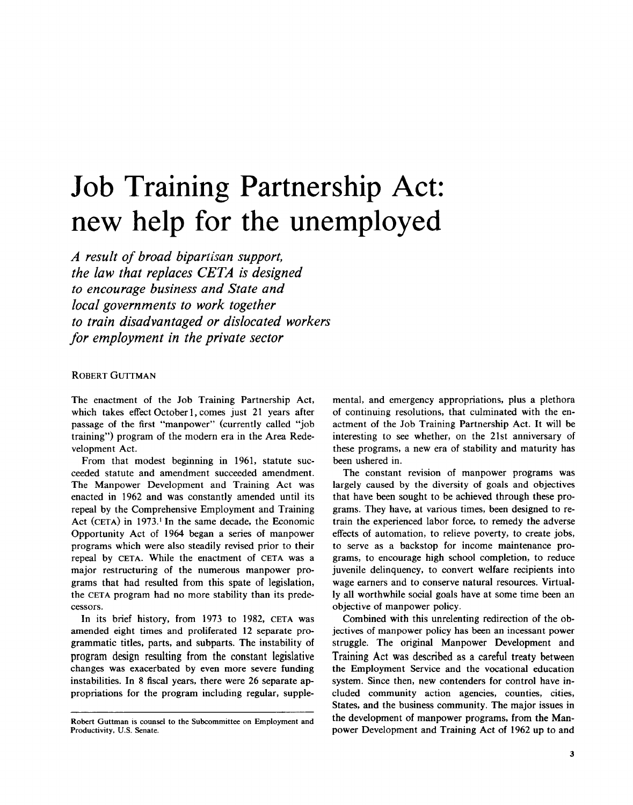# Job Training Partnership Act: new help for the unemployed

A result of broad bipartisan support, the law that replaces CETA is designed to encourage business and State and local governments to work together to train disadvantaged or dislocated workers for employment in the private sector

## ROBERT GUTTMAN

The enactment of the Job Training Partnership Act, which takes effect October 1, comes just 21 years after passage of the first "manpower" (currently called "job training") program of the modern era in the Area Redevelopment Act.

From that modest beginning in 1961, statute succeeded statute and amendment succeeded amendment. The Manpower Development and Training Act was enacted in 1962 and was constantly amended until its repeal by the Comprehensive Employment and Training Act (CETA) in 1973.' In the same decade, the Economic Opportunity Act of 1964 began a series of manpower programs which were also steadily revised prior to their repeal by CETA. While the enactment of CETA was a major restructuring of the numerous manpower programs that had resulted from this spate of legislation, the CETA program had no more stability than its predecessors.

In its brief history, from 1973 to 1982, CETA was amended eight times and proliferated 12 separate programmatic titles, parts, and subparts. The instability of program design resulting from the constant legislative changes was exacerbated by even more severe funding instabilities. In 8 fiscal years, there were 26 separate appropriations for the program including regular, supplemental, and emergency appropriations, plus a plethora of continuing resolutions, that culminated with the enactment of the Job Training Partnership Act. It will be interesting to see whether, on the 21st anniversary of these programs, a new era of stability and maturity has been ushered in.

The constant revision of manpower programs was largely caused by the diversity of goals and objectives that have been sought to be achieved through these programs. They have, at various times, been designed to retrain the experienced labor force, to remedy the adverse effects of automation, to relieve poverty, to create jobs, to serve as a backstop for income maintenance programs, to encourage high school completion, to reduce juvenile delinquency, to convert welfare recipients into wage earners and to conserve natural resources. Virtually all worthwhile social goals have at some time been an objective of manpower policy .

Combined with this unrelenting redirection of the objectives of manpower policy has been an incessant power struggle. The original Manpower Development and Training Act was described as a careful treaty between the Employment Service and the vocational education system. Since then, new contenders for control have included community action agencies, counties, cities, States, and the business community. The major issues in the development of manpower programs, from the Manpower Development and Training Act of 1962 up to and

Robert Guttman is counsel to the Subcommittee on Employment and Productivity, U.S. Senate.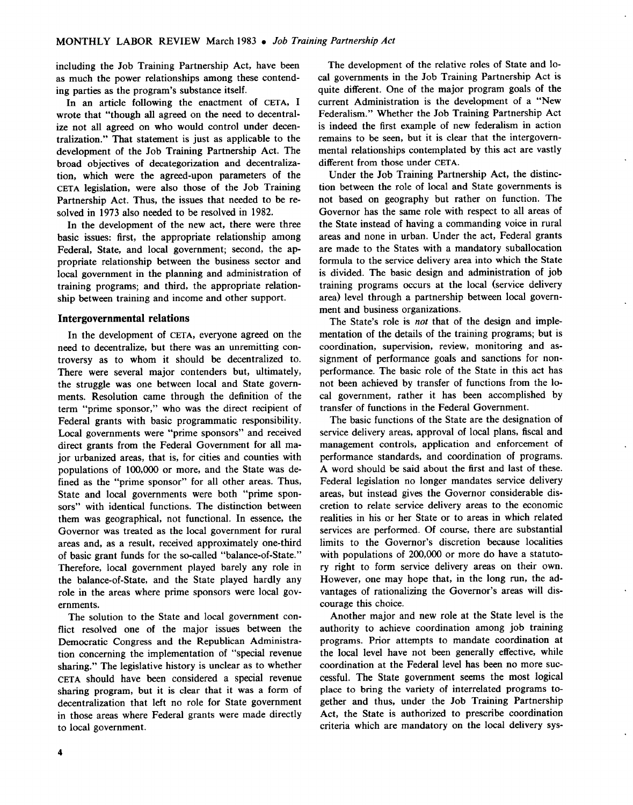including the Job Training Partnership Act, have been as much the power relationships among these contending parties as the program's substance itself.

In an article following the enactment of CETA, I wrote that "though all agreed on the need to decentralize not all agreed on who would control under decentralization." That statement is just as applicable to the development of the Job Training Partnership Act. The broad objectives of decategorization and decentralization, which were the agreed-upon parameters of the CETA legislation, were also those of the Job Training Partnership Act. Thus, the issues that needed to be resolved in 1973 also needed to be resolved in 1982.

In the development of the new act, there were three basic issues: first, the appropriate relationship among Federal, State, and local government; second, the appropriate relationship between the business sector and local government in the planning and administration of training programs; and third, the appropriate relationship between training and income and other support.

## Intergovernmental relations

In the development of CETA, everyone agreed on the need to decentralize, but there was an unremitting controversy as to whom it should be decentralized to. There were several major contenders but, ultimately, the struggle was one between local and State governments. Resolution came through the definition of the term "prime sponsor," who was the direct recipient of Federal grants with basic programmatic responsibility. Local governments were "prime sponsors" and received direct grants from the Federal Government for all major urbanized areas, that is, for cities and counties with populations of 100,000 or more, and the State was defined as the "prime sponsor" for all other areas. Thus, State and local governments were both "prime sponsors" with identical functions. The distinction between them was geographical, not functional . In essence, the Governor was treated as the local government for rural areas and, as a result, received approximately one-third of basic grant funds for the so-called "balance-of-State." Therefore, local government played barely any role in the balance-of-State, and the State played hardly any role in the areas where prime sponsors were local governments.

The solution to the State and local government conflict resolved one of the major issues between the Democratic Congress and the Republican Administration concerning the implementation of "special revenue sharing." The legislative history is unclear as to whether CETA should have been considered a special revenue sharing program, but it is clear that it was a form of decentralization that left no role for State government in those areas where Federal grants were made directly to local government.

The development of the relative roles of State and local governments in the Job Training Partnership Act is quite different. One of the major program goals of the current Administration is the development of a "New Federalism." Whether the Job Training Partnership Act is indeed the first example of new federalism in action remains to be seen, but it is clear that the intergovernmental relationships contemplated by this act are vastly different from those under CETA.

Under the Job Training Partnership Act, the distinction between the role of local and State governments is not based on geography but rather on function. The Governor has the same role with respect to all areas of the State instead of having a commanding voice in rural areas and none in urban. Under the act, Federal grants are made to the States with a mandatory suballocation formula to the service delivery area into which the State is divided. The basic design and administration of job training programs occurs at the local (service delivery area) level through a partnership between local government and business organizations.

The State's role is not that of the design and implementation of the details of the training programs; but is coordination, supervision, review, monitoring and assignment of performance goals and sanctions for nonperformance. The basic role of the State in this act has not been achieved by transfer of functions from the local government, rather it has been accomplished by transfer of functions in the Federal Government.

The basic functions of the State are the designation of service delivery areas, approval of local plans, fiscal and management controls, application and enforcement of performance standards, and coordination of programs. A word should be said about the first and last of these. Federal legislation no longer mandates service delivery areas, but instead gives the Governor considerable discretion to relate service delivery areas to the economic realities in his or her State or to areas in which related services are performed. Of course, there are substantial limits to the Governor's discretion because localities with populations of 200,000 or more do have a statutory right to form service delivery areas on their own. However, one may hope that, in the long run, the advantages of rationalizing the Governor's areas will discourage this choice .

Another major and new role at the State level is the authority to achieve coordination among job training programs. Prior attempts to mandate coordination at the local level have not been generally effective, while coordination at the Federal level has been no more successful. The State government seems the most logical place to bring the variety of interrelated programs together and thus, under the Job Training Partnership Act, the State is authorized to prescribe coordination criteria which are mandatory on the local delivery sys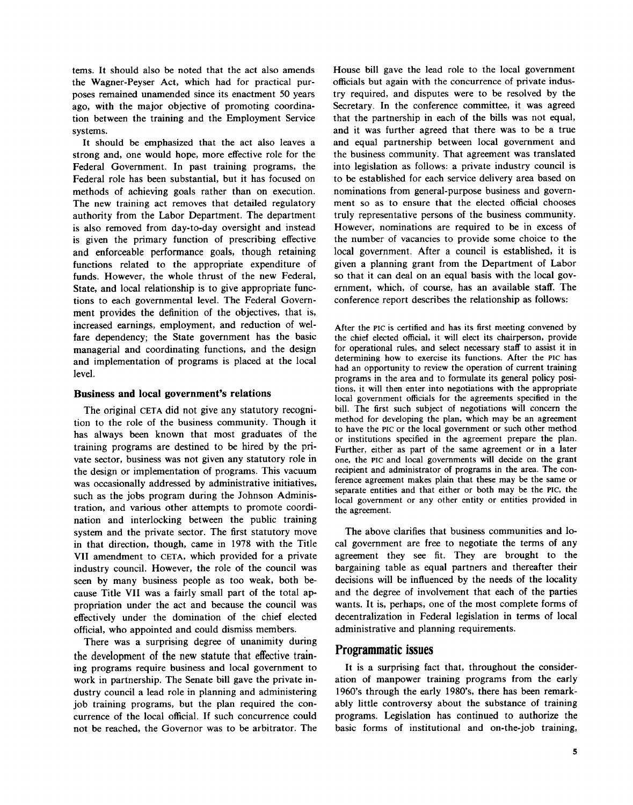tems. It should also be noted that the act also amends the Wagner-Peyser Act, which had for practical purposes remained unamended since its enactment 50 years ago, with the major objective of promoting coordination between the training and the Employment Service systems.

It should be emphasized that the act also leaves a strong and, one would hope, more effective role for the Federal Government. In past training programs, the Federal role has been substantial, but it has focused on methods of achieving goals rather than on execution. The new training act removes that detailed regulatory authority from the Labor Department. The department is also removed from day-to-day oversight and instead is given the primary function of prescribing effective and enforceable performance goals, though retaining functions related to the appropriate expenditure of funds. However, the whole thrust of the new Federal, State, and local relationship is to give appropriate functions to each governmental level. The Federal Government provides the definition of the objectives, that is, increased earnings, employment, and reduction of welfare dependency; the State government has the basic managerial and coordinating functions, and the design and implementation of programs is placed at the local level.

## Business and local government's relations

The original CETA did not give any statutory recognition to the role of the business community. Though it has always been known that most graduates of the training programs are destined to be hired by the private sector, business was not given any statutory role in the design or implementation of programs. This vacuum was occasionally addressed by administrative initiatives, such as the jobs program during the Johnson Administration, and various other attempts to promote coordination and interlocking between the public training system and the private sector. The first statutory move in that direction, though, came in 1978 with the Title VII amendment to CETA, which provided for a private industry council. However, the role of the council was seen by many business people as too weak, both because Title VII was a fairly small part of the total appropriation under the act and because the council was effectively under the domination of the chief elected official, who appointed and could dismiss members.

There was a surprising degree of unanimity during the development of the new statute that effective training programs require business and local government to work in partnership. The Senate bill gave the private industry council a lead role in planning and administering job training programs, but the plan required the concurrence of the local official. If such concurrence could not be reached, the Governor was to be arbitrator. The

House bill gave the lead role to the local government officials but again with the concurrence of private industry required, and disputes were to be resolved by the Secretary. In the conference committee, it was agreed that the partnership in each of the bills was not equal, and it was further agreed that there was to be a true and equal partnership between local government and the business community. That agreement was translated into legislation as follows: a private industry council is to be established for each service delivery area based on nominations from general-purpose business and government so as to ensure that the elected official chooses truly representative persons of the business community. However, nominations are required to be in excess of the number of vacancies to provide some choice to the local government. After a council is established, it is given a planning grant from the Department of Labor so that it can deal on an equal basis with the local government, which, of course, has an available staff. The conference report describes the relationship as follows:

After the PIC is certified and has its first meeting convened by the chief elected official, it will elect its chairperson, provide for operational rules, and select necessary staff to assist it in determining how to exercise its functions . After the Pic has had an opportunity to review the operation of current training programs in the area and to formulate its general policy positions, it will then enter into negotiations with the appropriate local government officials for the agreements specified in the bill. The first such subject of negotiations will concern the method for developing the plan, which may be an agreement to have the Pic or the local government or such other method or institutions specified in the agreement prepare the plan. Further, either as part of the same agreement or in a later one, the Pic and local governments will decide on the grant recipient and administrator of programs in the area. The conference agreement makes plain that these may be the same or separate entities and that either or both may be the Plc, the local government or any other entity or entities provided in the agreement.

The above clarifies that business communities and local government are free to negotiate the terms of any agreement they see fit. They are brought to the bargaining table as equal partners and thereafter their decisions will be influenced by the needs of the locality and the degree of involvement that each of the parties wants. It is, perhaps, one of the most complete forms of decentralization in Federal legislation in terms of local administrative and planning requirements.

# Programmatic issues

It is a surprising fact that, throughout the consideration of manpower training programs from the early 1960's through the early 1980's, there has been remarkably little controversy about the substance of training programs. Legislation has continued to authorize the basic forms of institutional and on-the-job training,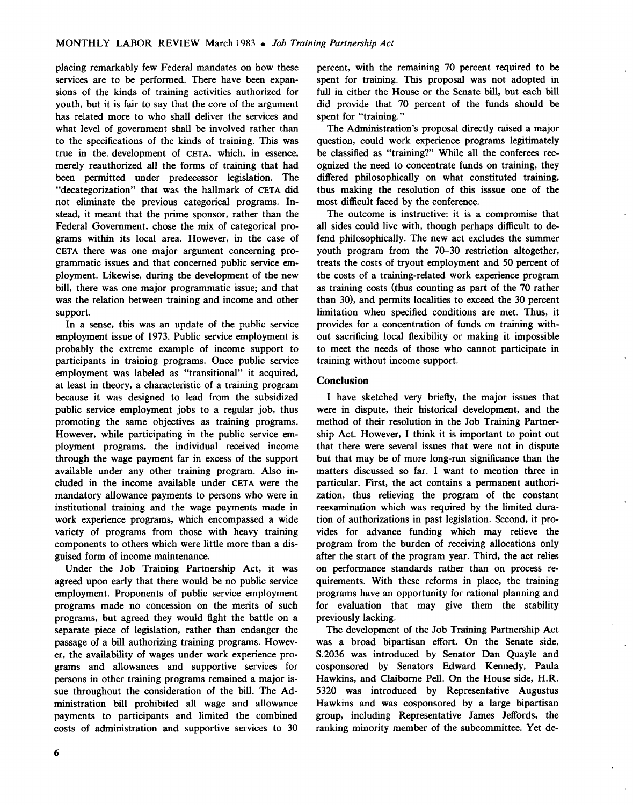placing remarkably few Federal mandates on how these services are to be performed. There have been expansions of the kinds of training activities authorized for youth, but it is fair to say that the core of the argument has related more to who shall deliver the services and what level of government shall be involved rather than to the specifications of the kinds of training. This was true in the . development of CETA, which, in essence, merely reauthorized all the forms of training that had been permitted under predecessor legislation. The "decategorization" that was the hallmark of CETA did not eliminate the previous categorical programs. Instead, it meant that the prime sponsor, rather than the Federal Government, chose the mix of categorical programs within its local area. However, in the case of CETA there was one major argument concerning programmatic issues and that concerned public service employment. Likewise, during the development of the new bill, there was one major programmatic issue; and that was the relation between training and income and other support.

In a sense, this was an update of the public service employment issue of 1973. Public service employment is probably the extreme example of income support to participants in training programs. Once public service employment was labeled as "transitional" it acquired, at least in theory, a characteristic of a training program because it was designed to lead from the subsidized public service employment jobs to a regular job, thus promoting the same objectives as training programs. However, while participating in the public service employment programs, the individual received income through the wage payment far in excess of the support available under any other training program. Also included in the income available under CETA were the mandatory allowance payments to persons who were in institutional training and the wage payments made in work experience programs, which encompassed a wide variety of programs from those with heavy training components to others which were little more than a disguised form of income maintenance.

Under the Job Training Partnership Act, it was agreed upon early that there would be no public service employment. Proponents of public service employment programs made no concession on the merits of such programs, but agreed they would fight the battle on a separate piece of legislation, rather than endanger the passage of a bill authorizing training programs. However, the availability of wages under work experience programs and allowances and supportive services for persons in other training programs remained a major issue throughout the consideration of the bill. The Administration bill prohibited all wage and allowance payments to participants and limited the combined costs of administration and supportive services to 30 percent, with the remaining 70 percent required to be spent for training. This proposal was not adopted in full in either the House or the Senate bill, but each bill did provide that 70 percent of the funds should be spent for "training."

The Administration's proposal directly raised a major question, could work experience programs legitimately be classified as "training?" While all the conferees recognized the need to concentrate funds on training, they differed philosophically on what constituted training, thus making the resolution of this isssue one of the most difficult faced by the conference.

The outcome is instructive: it is a compromise that all sides could live with, though perhaps difficult to defend philosophically. The new act excludes the summer youth program from the 70-30 restriction altogether, treats the costs of tryout employment and 50 percent of the costs of a training-related work experience program as training costs (thus counting as part of the 70 rather than 30), and permits localities to exceed the 30 percent limitation when specified conditions are met. Thus, it provides for a concentration of funds on training without sacrificing local flexibility or making it impossible to meet the needs of those who cannot participate in training without income support.

## **Conclusion**

I have sketched very briefly, the major issues that were in dispute, their historical development, and the method of their resolution in the Job Training Partnership Act. However, I think it is important to point out that there were several issues that were not in dispute but that may be of more long-run significance than the matters discussed so far. I want to mention three in particular. First, the act contains a permanent authorization, thus relieving the program of the constant reexamination which was required by the limited duration of authorizations in past legislation. Second, it provides for advance funding which may relieve the program from the burden of receiving allocations only after the start of the program year . Third, the act relies on performance standards rather than on process requirements. With these reforms in place, the training programs have an opportunity for rational planning and for evaluation that may give them the stability previously lacking.

The development of the Job Training Partnership Act was a broad bipartisan effort. On the Senate side, S.2036 was introduced by Senator Dan Quayle and cosponsored by Senators Edward Kennedy, Paula Hawkins, and Claiborne Pell. On the House side, H.R. 5320 was introduced by Representative Augustus Hawkins and was cosponsored by a large bipartisan group, including Representative James Jeffords, the ranking minority member of the subcommittee. Yet de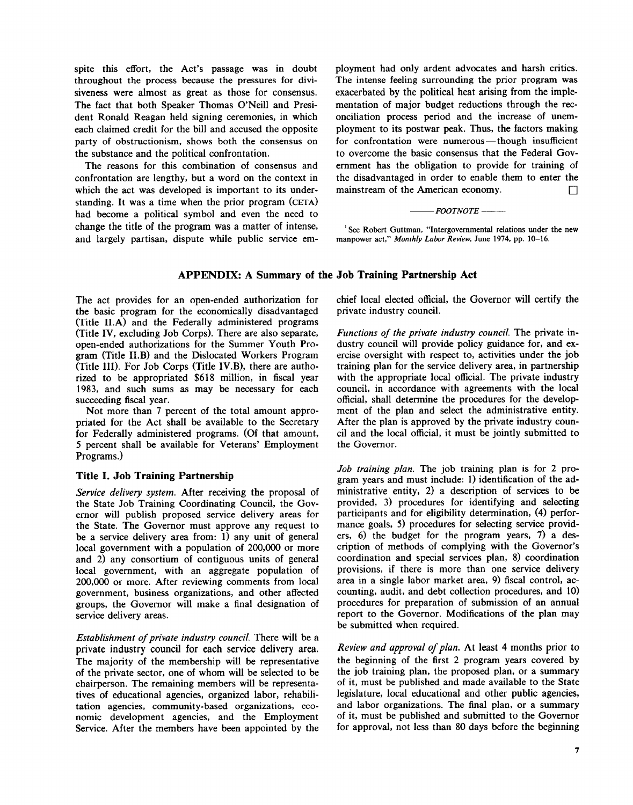spite this effort, the Act's passage was in doubt throughout the process because the pressures for divisiveness were almost as great as those for consensus. The fact that both Speaker Thomas O'Neill and President Ronald Reagan held signing ceremonies, in which each claimed credit for the bill and accused the opposite party of obstructionism, shows both the consensus on the substance and the political confrontation.

The reasons for this combination of consensus and confrontation are lengthy, but a word on the context in which the act was developed is important to its understanding. It was a time when the prior program (CETA) had become a political symbol and even the need to change the title of the program was a matter of intense, and largely partisan, dispute while public service employment had only ardent advocates and harsh critics. The intense feeling surrounding the prior program was exacerbated by the political heat arising from the implementation of major budget reductions through the reconciliation process period and the increase of unemployment to its postwar peak. Thus, the factors making for confrontation were numerous-though insufficient to overcome the basic consensus that the Federal Government has the obligation to provide for training of the disadvantaged in order to enable them to enter the mainstream of the American economy.  $\Box$ 

## $F$ *FOOTNOTE*  $-\qquad$

'See Robert Guttman, "Intergovernmental relations under the new manpower act," Monthly Labor Review, June 1974, pp. 10-16.

# APPENDIX: A Summary of the Job Training Partnership Act

The act provides for an open-ended authorization for the basic program for the economically disadvantaged (Title ILA) and the Federally administered programs (Title IV, excluding Job Corps). There are also separate, open-ended authorizations for the Summer Youth Program (Title II.B) and the Dislocated Workers Program (Title III). For Job Corps (Title IV.B), there are authorized to be appropriated \$618 million, in fiscal year 1983, and such sums as may be necessary for each succeeding fiscal year.

Not more than 7 percent of the total amount appropriated for the Act shall be available to the Secretary for Federally administered programs. (Of that amount, 5 percent shall be available for Veterans' Employment Programs.)

## Title I. Job Training Partnership

Service delivery system. After receiving the proposal of the State Job Training Coordinating Council, the Governor will publish proposed service delivery areas for the State. The Governor must approve any request to be a service delivery area from: 1) any unit of general local government with a population of 200,000 or more and 2) any consortium of contiguous units of general local government, with an aggregate population of 200,000 or more. After reviewing comments from local government, business organizations, and other affected groups, the Governor will make a final designation of service delivery areas.

Establishment of private industry council. There will be a private industry council for each service delivery area. The majority of the membership will be representative of the private sector, one of whom will be selected to be chairperson. The remaining members will be representatives of educational agencies, organized labor, rehabilitation agencies, community-based organizations, economic development agencies, and the Employment Service. After the members have been appointed by the

chief local elected official, the Governor will certify the private industry council.

Functions of the private industry council. The private industry council will provide policy guidance for, and exercise oversight with respect to, activities under the job training plan for the service delivery area, in partnership with the appropriate local official. The private industry council, in accordance with agreements with the local official, shall determine the procedures for the development of the plan and select the administrative entity. After the plan is approved by the private industry council and the local official, it must be jointly submitted to the Governor.

Job training plan. The job training plan is for 2 program years and must include: 1) identification of the administrative entity, 2) a description of services to be provided, 3) procedures for identifying and selecting participants and for eligibility determination, (4) performance goals, 5) procedures for selecting service providers, 6) the budget for the program years, 7) a description of methods of complying with the Governor's coordination and special services plan, 8) coordination provisions, if there is more than one service delivery area in a single labor market area, 9) fiscal control, accounting, audit, and debt collection procedures, and 10) procedures for preparation of submission of an annual report to the Governor. Modifications of the plan may be submitted when required.

Review and approval of plan. At least 4 months prior to the beginning of the first 2 program years covered by the job training plan, the proposed plan, or a summary of it, must be published and made available to the State legislature, local educational and other public agencies, and labor organizations. The final plan, or a summary of it, must be published and submitted to the Governor for approval, not less than 80 days before the beginning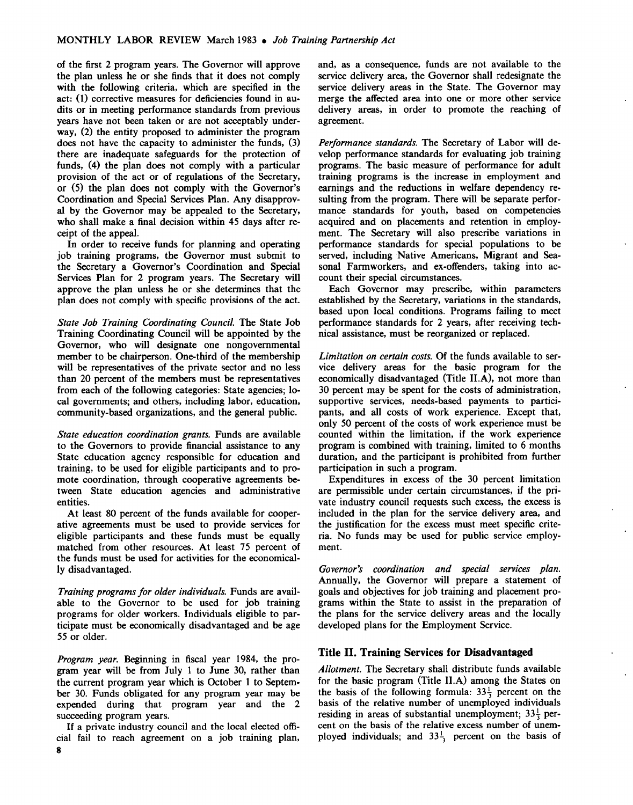of the first 2 program years. The Governor will approve the plan unless he or she finds that it does not comply with the following criteria, which are specified in the act: (1) corrective measures for deficiencies found in audits or in meeting performance standards from previous years have not been taken or are not acceptably underway, (2) the entity proposed to administer the program does not have the capacity to administer the funds, (3) there are inadequate safeguards for the protection of funds, (4) the plan does not comply with a particular provision of the act or of regulations of the Secretary, or (5) the plan does not comply with the Governor's Coordination and Special Services Plan. Any disapproval by the Governor may be appealed to the Secretary, who shall make a final decision within 45 days after receipt of the appeal.

In order to receive funds for planning and operating job training programs, the Governor must submit to the Secretary a Governor's Coordination and Special Services Plan for 2 program years. The Secretary will approve the plan unless he or she determines that the plan does not comply with specific provisions of the act.

State Job Training Coordinating Council. The State Job Training Coordinating Council will be appointed by the Governor, who will designate one nongovernmental member to be chairperson. One-third of the membership will be representatives of the private sector and no less than 20 percent of the members must be representatives from each of the following categories: State agencies; local governments; and others, including labor, education, community-based organizations, and the general public.

State education coordination grants. Funds are available to the Governors to provide financial assistance to any State education agency responsible for education and training, to be used for eligible participants and to promote coordination, through cooperative agreements between State education agencies and administrative entities.

At least 80 percent of the funds available for cooperative agreements must be used to provide services for eligible participants and these funds must be equally matched from other resources. At least 75 percent of the funds must be used for activities for the economically disadvantaged.

Training programs for older individuals. Funds are available to the Governor to be used for job training programs for older workers. Individuals eligible to participate must be economically disadvantaged and be age 55 or older.

Program year. Beginning in fiscal year 1984, the program year will be from July 1 to June 30, rather than the current program year which is October 1 to September 30. Funds obligated for any program year may be expended during that program year and the 2 succeeding program years.

If a private industry council and the local elected official fail to reach agreement on a job training plan, 8

and, as a consequence, funds are not available to the service delivery area, the Governor shall redesignate the service delivery areas in the State. The Governor may merge the affected area into one or more other service delivery areas, in order to promote the reaching of agreement.

Performance standards. The Secretary of Labor will develop performance standards for evaluating job training programs. The basic measure of performance for adult training programs is the increase in employment and earnings and the reductions in welfare dependency resulting from the program. There will be separate performance standards for youth, based on competencies acquired and on placements and retention in employment. The Secretary will also prescribe variations in performance standards for special populations to be served, including Native Americans, Migrant and Seasonal Farmworkers, and ex-offenders, taking into account their special circumstances.

Each Governor may prescribe, within parameters established by the Secretary, variations in the standards, based upon local conditions. Programs failing to meet performance standards for 2 years, after receiving technical assistance, must be reorganized or replaced .

Limitation on certain costs. Of the funds available to service delivery areas for the basic program for the economically disadvantaged (Title ILA), not more than 30 percent may be spent for the costs of administration, supportive services, needs-based payments to participants, and all costs of work experience. Except that, only 50 percent of the costs of work experience must be counted within the limitation, if the work experience program is combined with training, limited to 6 months duration, and the participant is prohibited from further participation in such a program.

Expenditures in excess of the 30 percent limitation are permissible under certain circumstances, if the private industry council requests such excess, the excess is included in the plan for the service delivery area, and the justification for the excess must meet specific criteria. No funds may be used for public service employment.

Governor's coordination and special services plan. Annually, the Governor will prepare a statement of goals and objectives for job training and placement programs within the State to assist in the preparation of the plans for the service delivery areas and the locally developed plans for the Employment Service.

## Title II. Training Services for Disadvantaged

Allotment. The Secretary shall distribute funds available for the basic program (Title ILA) among the States on the basis of the following formula:  $33\frac{1}{3}$  percent on the basis of the relative number of unemployed individuals residing in areas of substantial unemployment;  $33\frac{1}{3}$  percent on the basis of the relative excess number of unemployed individuals; and  $33\frac{1}{3}$  percent on the basis of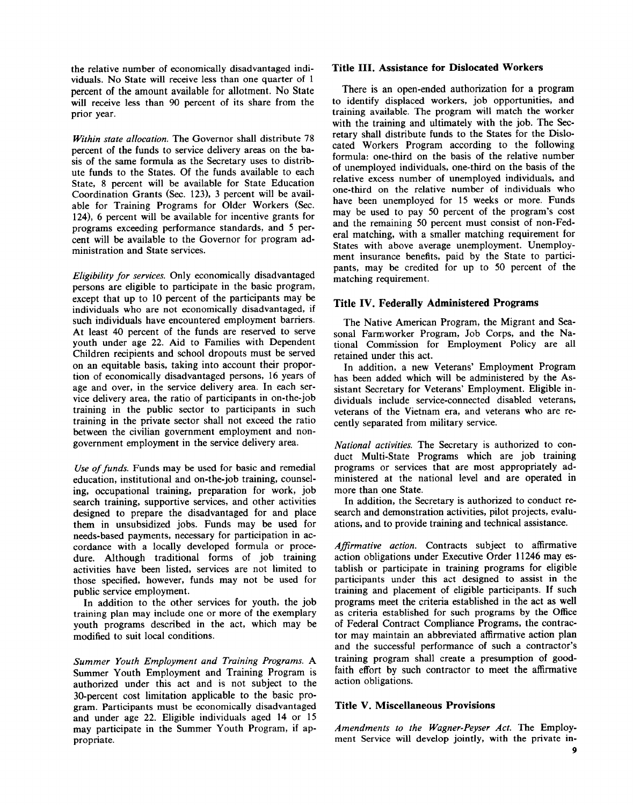the relative number of economically disadvantaged individuals. No State will receive less than one quarter of 1 percent of the amount available for allotment. No State will receive less than 90 percent of its share from the prior year.

Within state allocation. The Governor shall distribute 78 percent of the funds to service delivery areas on the basis of the same formula as the Secretary uses to distribute funds to the States . Of the funds available to each State, 8 percent will be available for State Education Coordination Grants (Sec. 123), 3 percent will be available for Training Programs for Older Workers (Sec. 124), 6 percent will be available for incentive grants for programs exceeding performance standards, and 5 percent will be available to the Governor for program administration and State services .

Eligibility for services. Only economically disadvantaged persons are eligible to participate in the basic program, except that up to 10 percent of the participants may be individuals who are not economically disadvantaged, if such individuals have encountered employment barriers. At least 40 percent of the funds are reserved to serve youth under age 22. Aid to Families with Dependent Children recipients and school dropouts must be served on an equitable basis, taking into account their proportion of economically disadvantaged persons, 16 years of age and over, in the service delivery area . In each service delivery area, the ratio of participants in on-the-job training in the public sector to participants in such training in the private sector shall not exceed the ratio between the civilian government employment and nongovernment employment in the service delivery area .

Use of funds. Funds may be used for basic and remedial education, institutional and on-the-job training, counseling, occupational training, preparation for work, job search training, supportive services, and other activities designed to prepare the disadvantaged for and place them in unsubsidized jobs. Funds may be used for needs-based payments, necessary for participation in accordance with a locally developed formula or procedure. Although traditional forms of job training activities have been listed, services are not limited to those specified, however, funds may not be used for public service employment.

In addition to the other services for youth, the job training plan may include one or more of the exemplary youth programs described in the act, which may be modified to suit local conditions.

Summer Youth Employment and Training Programs. A Summer Youth Employment and Training Program is authorized under this act and is not subject to the 30-percent cost limitation applicable to the basic program. Participants must be economically disadvantaged and under age 22. Eligible individuals aged 14 or 15 may participate in the Summer Youth Program, if appropriate.

## Title III. Assistance for Dislocated Workers

There is an open-ended authorization for a program to identify displaced workers, job opportunities, and training available. The program will match the worker with the training and ultimately with the job. The Secretary shall distribute funds to the States for the Dislocated Workers Program according to the following formula: one-third on the basis of the relative number of unemployed individuals, one-third on the basis of the relative excess number of unemployed individuals, and one-third on the relative number of individuals who have been unemployed for 15 weeks or more. Funds may be used to pay 50 percent of the program's cost and the remaining 50 percent must consist of non-Federal matching, with a smaller matching requirement for States with above average unemployment. Unemployment insurance benefits, paid by the State to participants, may be credited for up to 50 percent of the matching requirement.

## Title IV. Federally Administered Programs

The Native American Program, the Migrant and Seasonal Farmworker Program, Job Corps, and the National Commission for Employment Policy are all retained under this act.

In addition, a new Veterans' Employment Program has been added which will be administered by the Assistant Secretary for Veterans' Employment. Eligible individuals include service-connected disabled veterans, veterans of the Vietnam era, and veterans who are recently separated from military service.

National activities. The Secretary is authorized to conduct Multi-State Programs which are job training programs or services that are most appropriately administered at the national level and are operated in more than one State.

In addition, the Secretary is authorized to conduct research and demonstration activities, pilot projects, evaluations, and to provide training and technical assistance .

Affirmative action. Contracts subject to affirmative action obligations under Executive Order 11246 may establish or participate in training programs for eligible participants under this act designed to assist in the training and placement of eligible participants . If such programs meet the criteria established in the act as well as criteria established for such programs by the Office of Federal Contract Compliance Programs, the contractor may maintain an abbreviated affirmative action plan and the successful performance of such a contractor's training program shall create a presumption of goodfaith effort by such contractor to meet the affirmative action obligations.

## Title V. Miscellaneous Provisions

Amendments to the Wagner-Peyser Act. The Employment Service will develop jointly, with the private in